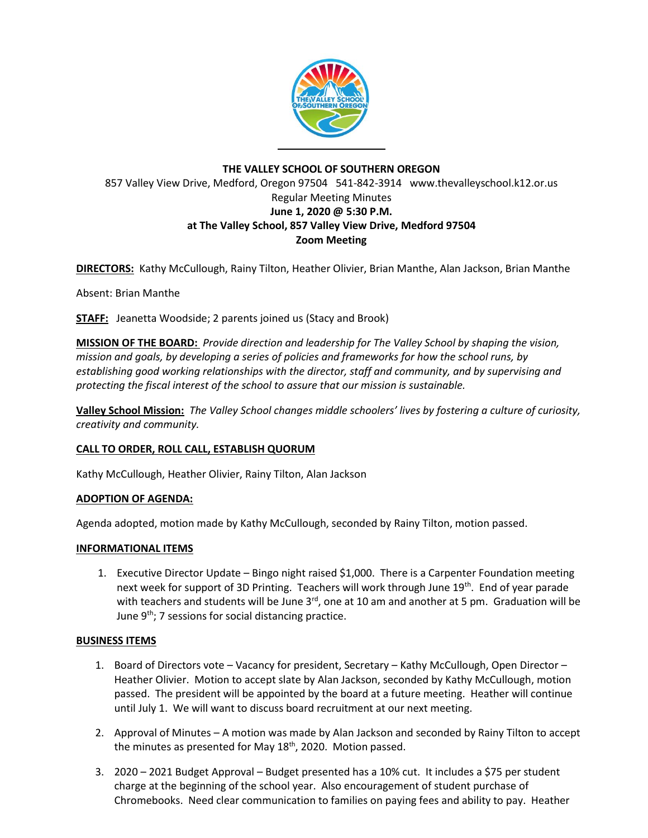

# **THE VALLEY SCHOOL OF SOUTHERN OREGON** 857 Valley View Drive, Medford, Oregon 97504 541-842-3914 www.thevalleyschool.k12.or.us Regular Meeting Minutes **June 1, 2020 @ 5:30 P.M. at The Valley School, 857 Valley View Drive, Medford 97504 Zoom Meeting**

**DIRECTORS:** Kathy McCullough, Rainy Tilton, Heather Olivier, Brian Manthe, Alan Jackson, Brian Manthe

Absent: Brian Manthe

**STAFF:** Jeanetta Woodside; 2 parents joined us (Stacy and Brook)

**MISSION OF THE BOARD:** *Provide direction and leadership for The Valley School by shaping the vision, mission and goals, by developing a series of policies and frameworks for how the school runs, by establishing good working relationships with the director, staff and community, and by supervising and protecting the fiscal interest of the school to assure that our mission is sustainable.*

**Valley School Mission:** *The Valley School changes middle schoolers' lives by fostering a culture of curiosity, creativity and community.*

## **CALL TO ORDER, ROLL CALL, ESTABLISH QUORUM**

Kathy McCullough, Heather Olivier, Rainy Tilton, Alan Jackson

## **ADOPTION OF AGENDA:**

Agenda adopted, motion made by Kathy McCullough, seconded by Rainy Tilton, motion passed.

## **INFORMATIONAL ITEMS**

1. Executive Director Update – Bingo night raised \$1,000. There is a Carpenter Foundation meeting next week for support of 3D Printing. Teachers will work through June 19<sup>th</sup>. End of year parade with teachers and students will be June  $3<sup>rd</sup>$ , one at 10 am and another at 5 pm. Graduation will be June  $9<sup>th</sup>$ ; 7 sessions for social distancing practice.

## **BUSINESS ITEMS**

- 1. Board of Directors vote Vacancy for president, Secretary Kathy McCullough, Open Director Heather Olivier. Motion to accept slate by Alan Jackson, seconded by Kathy McCullough, motion passed. The president will be appointed by the board at a future meeting. Heather will continue until July 1. We will want to discuss board recruitment at our next meeting.
- 2. Approval of Minutes A motion was made by Alan Jackson and seconded by Rainy Tilton to accept the minutes as presented for May 18<sup>th</sup>, 2020. Motion passed.
- 3. 2020 2021 Budget Approval Budget presented has a 10% cut. It includes a \$75 per student charge at the beginning of the school year. Also encouragement of student purchase of Chromebooks. Need clear communication to families on paying fees and ability to pay. Heather